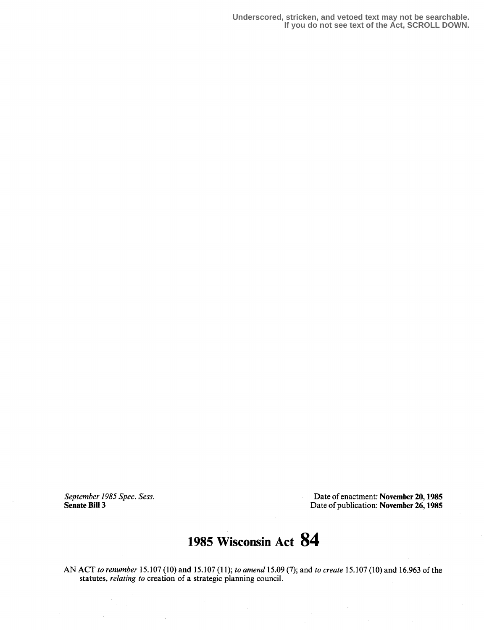**Underscored, stricken, and vetoed text may not be searchable. If you do not see text of the Act, SCROLL DOWN.**

September 1985 Spec. Sess.<br>
Senate Bill 3<br>
Date of publication: November 26, 1985<br>
Date of publication: November 26, 1985 Date of publication: November 26, 1985

## 1985 Wisconsin Act 84

AN ACT to renumber 15.107 (10) and 15.107 (11); to amend 15.09 (7); and to create 15.107 (10) and 16.963 of the statutes, *relating to* creation of a strategic planning council.